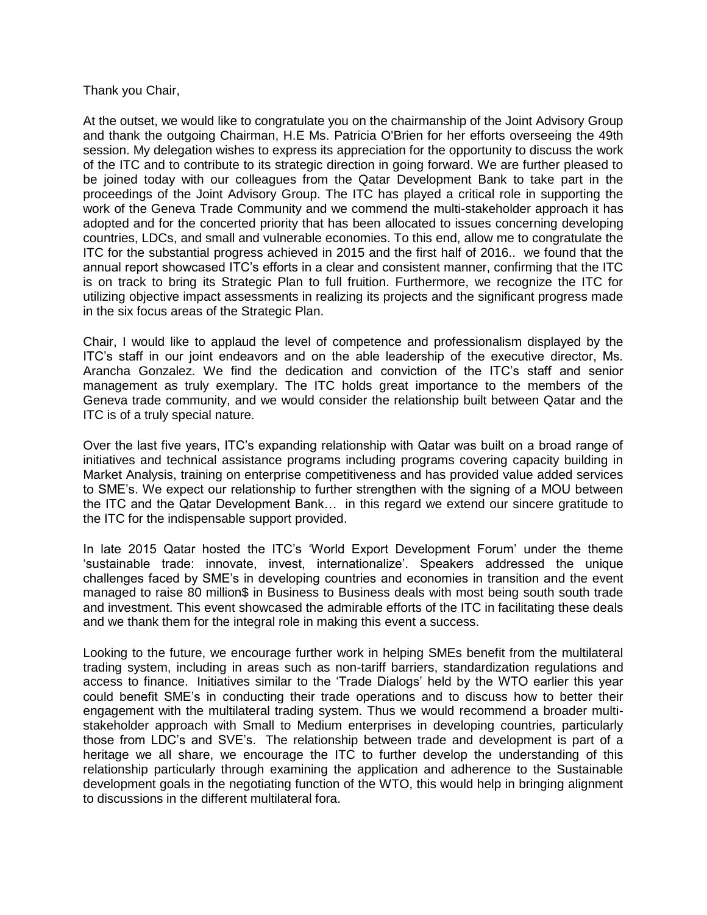Thank you Chair,

At the outset, we would like to congratulate you on the chairmanship of the Joint Advisory Group and thank the outgoing Chairman, H.E Ms. Patricia O'Brien for her efforts overseeing the 49th session. My delegation wishes to express its appreciation for the opportunity to discuss the work of the ITC and to contribute to its strategic direction in going forward. We are further pleased to be joined today with our colleagues from the Qatar Development Bank to take part in the proceedings of the Joint Advisory Group. The ITC has played a critical role in supporting the work of the Geneva Trade Community and we commend the multi-stakeholder approach it has adopted and for the concerted priority that has been allocated to issues concerning developing countries, LDCs, and small and vulnerable economies. To this end, allow me to congratulate the ITC for the substantial progress achieved in 2015 and the first half of 2016.. we found that the annual report showcased ITC's efforts in a clear and consistent manner, confirming that the ITC is on track to bring its Strategic Plan to full fruition. Furthermore, we recognize the ITC for utilizing objective impact assessments in realizing its projects and the significant progress made in the six focus areas of the Strategic Plan.

Chair, I would like to applaud the level of competence and professionalism displayed by the ITC's staff in our joint endeavors and on the able leadership of the executive director, Ms. Arancha Gonzalez. We find the dedication and conviction of the ITC's staff and senior management as truly exemplary. The ITC holds great importance to the members of the Geneva trade community, and we would consider the relationship built between Qatar and the ITC is of a truly special nature.

Over the last five years, ITC's expanding relationship with Qatar was built on a broad range of initiatives and technical assistance programs including programs covering capacity building in Market Analysis, training on enterprise competitiveness and has provided value added services to SME's. We expect our relationship to further strengthen with the signing of a MOU between the ITC and the Qatar Development Bank… in this regard we extend our sincere gratitude to the ITC for the indispensable support provided.

In late 2015 Qatar hosted the ITC's 'World Export Development Forum' under the theme 'sustainable trade: innovate, invest, internationalize'. Speakers addressed the unique challenges faced by SME's in developing countries and economies in transition and the event managed to raise 80 million\$ in Business to Business deals with most being south south trade and investment. This event showcased the admirable efforts of the ITC in facilitating these deals and we thank them for the integral role in making this event a success.

Looking to the future, we encourage further work in helping SMEs benefit from the multilateral trading system, including in areas such as non-tariff barriers, standardization regulations and access to finance. Initiatives similar to the 'Trade Dialogs' held by the WTO earlier this year could benefit SME's in conducting their trade operations and to discuss how to better their engagement with the multilateral trading system. Thus we would recommend a broader multistakeholder approach with Small to Medium enterprises in developing countries, particularly those from LDC's and SVE's. The relationship between trade and development is part of a heritage we all share, we encourage the ITC to further develop the understanding of this relationship particularly through examining the application and adherence to the Sustainable development goals in the negotiating function of the WTO, this would help in bringing alignment to discussions in the different multilateral fora.